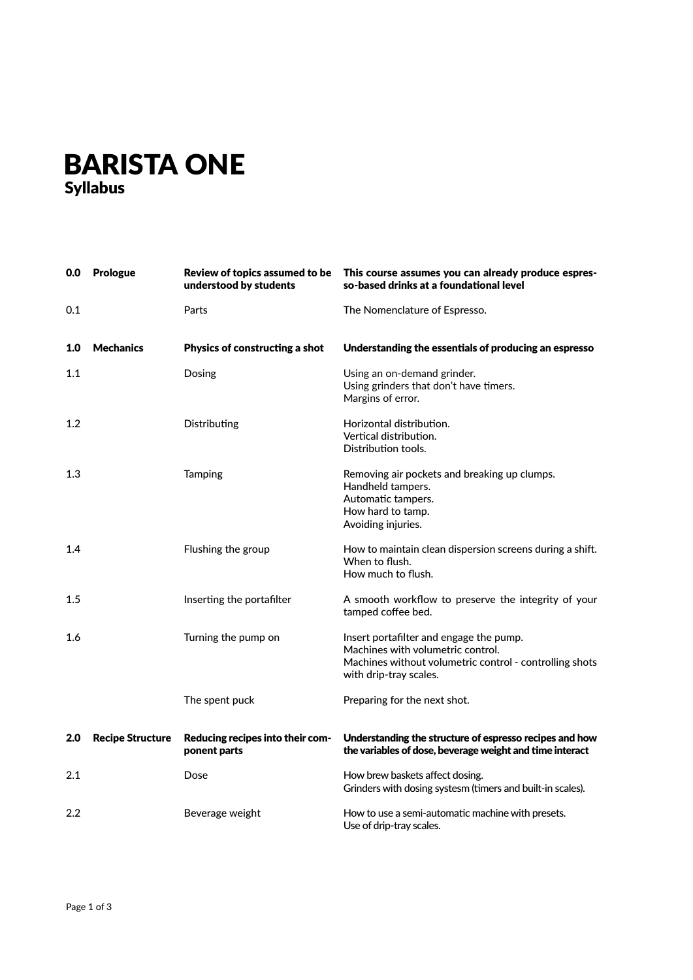## BARISTA ONE Syllabus

| 0.0     | <b>Prologue</b>         | Review of topics assumed to be<br>understood by students | This course assumes you can already produce espres-<br>so-based drinks at a foundational level                                                                    |
|---------|-------------------------|----------------------------------------------------------|-------------------------------------------------------------------------------------------------------------------------------------------------------------------|
| 0.1     |                         | Parts                                                    | The Nomenclature of Espresso.                                                                                                                                     |
| 1.0     | <b>Mechanics</b>        | Physics of constructing a shot                           | Understanding the essentials of producing an espresso                                                                                                             |
| 1.1     |                         | Dosing                                                   | Using an on-demand grinder.<br>Using grinders that don't have timers.<br>Margins of error.                                                                        |
| 1.2     |                         | Distributing                                             | Horizontal distribution.<br>Vertical distribution.<br>Distribution tools.                                                                                         |
| 1.3     |                         | Tamping                                                  | Removing air pockets and breaking up clumps.<br>Handheld tampers.<br>Automatic tampers.<br>How hard to tamp.<br>Avoiding injuries.                                |
| 1.4     |                         | Flushing the group                                       | How to maintain clean dispersion screens during a shift.<br>When to flush.<br>How much to flush.                                                                  |
| $1.5\,$ |                         | Inserting the portafilter                                | A smooth workflow to preserve the integrity of your<br>tamped coffee bed.                                                                                         |
| 1.6     |                         | Turning the pump on                                      | Insert portafilter and engage the pump.<br>Machines with volumetric control.<br>Machines without volumetric control - controlling shots<br>with drip-tray scales. |
|         |                         | The spent puck                                           | Preparing for the next shot.                                                                                                                                      |
| 2.0     | <b>Recipe Structure</b> | Reducing recipes into their com-<br>ponent parts         | Understanding the structure of espresso recipes and how<br>the variables of dose, beverage weight and time interact                                               |
| 2.1     |                         | Dose                                                     | How brew baskets affect dosing.<br>Grinders with dosing systesm (timers and built-in scales).                                                                     |
| $2.2\,$ |                         | Beverage weight                                          | How to use a semi-automatic machine with presets.<br>Use of drip-tray scales.                                                                                     |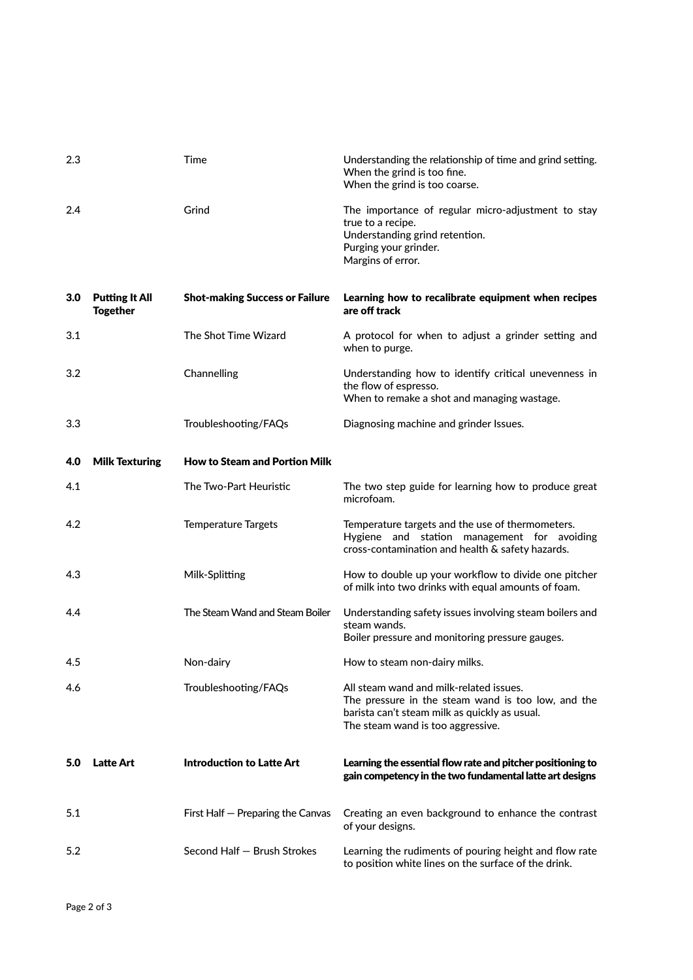| 2.3              |                                          | Time                                  | Understanding the relationship of time and grind setting.<br>When the grind is too fine.<br>When the grind is too coarse.                                                           |
|------------------|------------------------------------------|---------------------------------------|-------------------------------------------------------------------------------------------------------------------------------------------------------------------------------------|
| 2.4              |                                          | Grind                                 | The importance of regular micro-adjustment to stay<br>true to a recipe.<br>Understanding grind retention.<br>Purging your grinder.<br>Margins of error.                             |
| 3.0 <sub>2</sub> | <b>Putting It All</b><br><b>Together</b> | <b>Shot-making Success or Failure</b> | Learning how to recalibrate equipment when recipes<br>are off track                                                                                                                 |
| 3.1              |                                          | The Shot Time Wizard                  | A protocol for when to adjust a grinder setting and<br>when to purge.                                                                                                               |
| 3.2              |                                          | Channelling                           | Understanding how to identify critical unevenness in<br>the flow of espresso.<br>When to remake a shot and managing wastage.                                                        |
| 3.3              |                                          | Troubleshooting/FAQs                  | Diagnosing machine and grinder Issues.                                                                                                                                              |
| 4.0              | <b>Milk Texturing</b>                    | <b>How to Steam and Portion Milk</b>  |                                                                                                                                                                                     |
| 4.1              |                                          | The Two-Part Heuristic                | The two step guide for learning how to produce great<br>microfoam.                                                                                                                  |
| 4.2              |                                          | <b>Temperature Targets</b>            | Temperature targets and the use of thermometers.<br>Hygiene and station management for avoiding<br>cross-contamination and health & safety hazards.                                 |
| 4.3              |                                          | Milk-Splitting                        | How to double up your workflow to divide one pitcher<br>of milk into two drinks with equal amounts of foam.                                                                         |
| 4.4              |                                          | The Steam Wand and Steam Boiler       | Understanding safety issues involving steam boilers and<br>steam wands.<br>Boiler pressure and monitoring pressure gauges.                                                          |
| 4.5              |                                          | Non-dairy                             | How to steam non-dairy milks.                                                                                                                                                       |
| 4.6              |                                          | Troubleshooting/FAQs                  | All steam wand and milk-related issues.<br>The pressure in the steam wand is too low, and the<br>barista can't steam milk as quickly as usual.<br>The steam wand is too aggressive. |
| 5.0              | <b>Latte Art</b>                         | Introduction to Latte Art             | Learning the essential flow rate and pitcher positioning to<br>gain competency in the two fundamental latte art designs                                                             |
| 5.1              |                                          | First Half - Preparing the Canvas     | Creating an even background to enhance the contrast<br>of your designs.                                                                                                             |
|                  |                                          |                                       |                                                                                                                                                                                     |